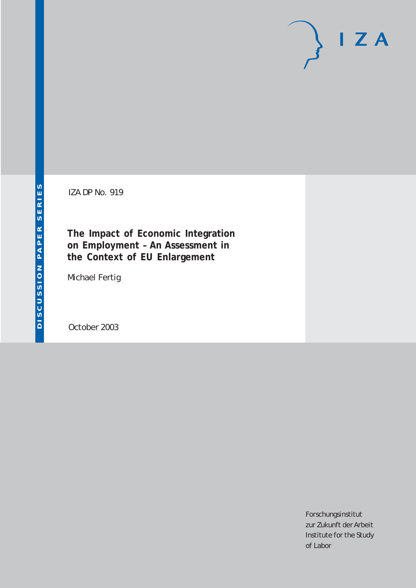# $I Z A$

IZA DP No. 919

**The Impact of Economic Integration on Employment – An Assessment in the Context of EU Enlargement**

Michael Fertig

October 2003

Forschungsinstitut zur Zukunft der Arbeit Institute for the Study of Labor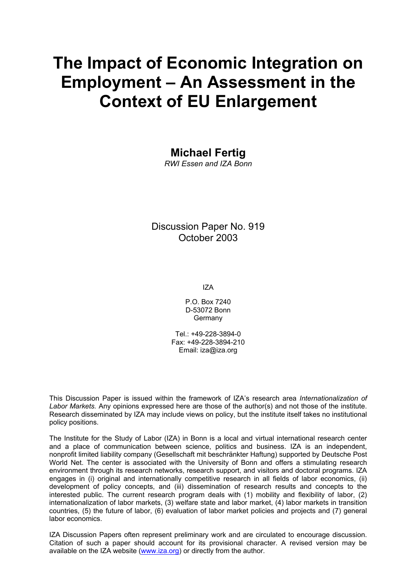# **The Impact of Economic Integration on Employment – An Assessment in the Context of EU Enlargement**

# **Michael Fertig**

*RWI Essen and IZA Bonn* 

Discussion Paper No. 919 October 2003

IZA

P.O. Box 7240 D-53072 Bonn Germany

 $Tel + 49-228-3894-0$ Fax: +49-228-3894-210 Email: [iza@iza.org](mailto:iza@iza.org)

This Discussion Paper is issued within the framework of IZA's research area *Internationalization of Labor Markets.* Any opinions expressed here are those of the author(s) and not those of the institute. Research disseminated by IZA may include views on policy, but the institute itself takes no institutional policy positions.

The Institute for the Study of Labor (IZA) in Bonn is a local and virtual international research center and a place of communication between science, politics and business. IZA is an independent, nonprofit limited liability company (Gesellschaft mit beschränkter Haftung) supported by Deutsche Post World Net. The center is associated with the University of Bonn and offers a stimulating research environment through its research networks, research support, and visitors and doctoral programs. IZA engages in (i) original and internationally competitive research in all fields of labor economics, (ii) development of policy concepts, and (iii) dissemination of research results and concepts to the interested public. The current research program deals with (1) mobility and flexibility of labor, (2) internationalization of labor markets, (3) welfare state and labor market, (4) labor markets in transition countries, (5) the future of labor, (6) evaluation of labor market policies and projects and (7) general labor economics.

IZA Discussion Papers often represent preliminary work and are circulated to encourage discussion. Citation of such a paper should account for its provisional character. A revised version may be available on the IZA website ([www.iza.org](http://www.iza.org/)) or directly from the author.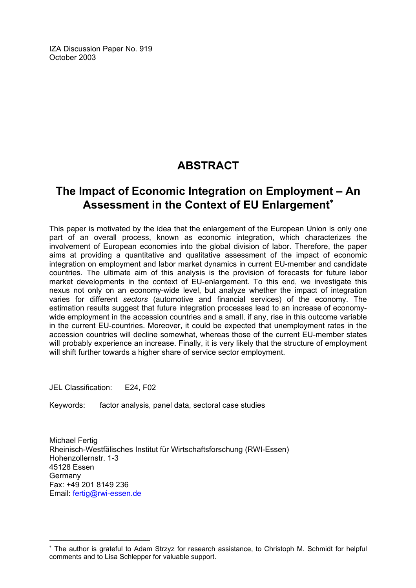IZA Discussion Paper No. 919 October 2003

# **ABSTRACT**

# **The Impact of Economic Integration on Employment – An Assessment in the Context of EU Enlargement<sup>\*</sup>**

This paper is motivated by the idea that the enlargement of the European Union is only one part of an overall process, known as economic integration, which characterizes the involvement of European economies into the global division of labor. Therefore, the paper aims at providing a quantitative and qualitative assessment of the impact of economic integration on employment and labor market dynamics in current EU-member and candidate countries. The ultimate aim of this analysis is the provision of forecasts for future labor market developments in the context of EU-enlargement. To this end, we investigate this nexus not only on an economy-wide level, but analyze whether the impact of integration varies for different *sectors* (automotive and financial services) of the economy. The estimation results suggest that future integration processes lead to an increase of economywide employment in the accession countries and a small, if any, rise in this outcome variable in the current EU-countries. Moreover, it could be expected that unemployment rates in the accession countries will decline somewhat, whereas those of the current EU-member states will probably experience an increase. Finally, it is very likely that the structure of employment will shift further towards a higher share of service sector employment.

JEL Classification: E24, F02

 $\overline{a}$ 

Keywords: factor analysis, panel data, sectoral case studies

Michael Fertig Rheinisch-Westfälisches Institut für Wirtschaftsforschung (RWI-Essen) Hohenzollernstr. 1-3 45128 Essen Germany Fax: +49 201 8149 236 Email: [fertig@rwi-essen.de](mailto:fertig@rwi-essen.de)

<span id="page-2-0"></span><sup>∗</sup> The author is grateful to Adam Strzyz for research assistance, to Christoph M. Schmidt for helpful comments and to Lisa Schlepper for valuable support.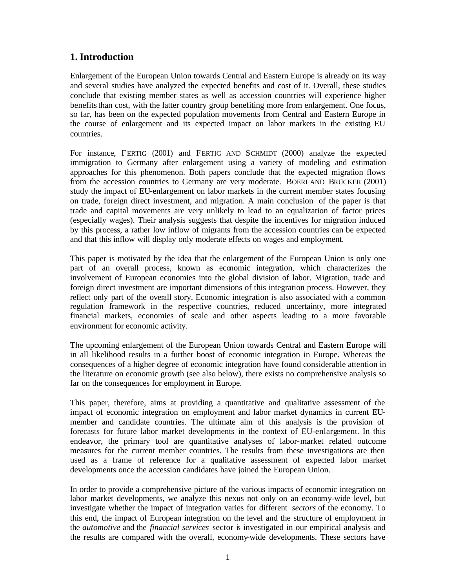#### **1. Introduction**

Enlargement of the European Union towards Central and Eastern Europe is already on its way and several studies have analyzed the expected benefits and cost of it. Overall, these studies conclude that existing member states as well as accession countries will experience higher benefits than cost, with the latter country group benefiting more from enlargement. One focus, so far, has been on the expected population movements from Central and Eastern Europe in the course of enlargement and its expected impact on labor markets in the existing EU countries.

For instance, FERTIG (2001) and FERTIG AND SCHMIDT (2000) analyze the expected immigration to Germany after enlargement using a variety of modeling and estimation approaches for this phenomenon. Both papers conclude that the expected migration flows from the accession countries to Germany are very moderate. BOERI AND BRÜCKER (2001) study the impact of EU-enlargement on labor markets in the current member states focusing on trade, foreign direct investment, and migration. A main conclusion of the paper is that trade and capital movements are very unlikely to lead to an equalization of factor prices (especially wages). Their analysis suggests that despite the incentives for migration induced by this process, a rather low inflow of migrants from the accession countries can be expected and that this inflow will display only moderate effects on wages and employment.

This paper is motivated by the idea that the enlargement of the European Union is only one part of an overall process, known as economic integration, which characterizes the involvement of European economies into the global division of labor. Migration, trade and foreign direct investment are important dimensions of this integration process. However, they reflect only part of the overall story. Economic integration is also associated with a common regulation framework in the respective countries, reduced uncertainty, more integrated financial markets, economies of scale and other aspects leading to a more favorable environment for economic activity.

The upcoming enlargement of the European Union towards Central and Eastern Europe will in all likelihood results in a further boost of economic integration in Europe. Whereas the consequences of a higher degree of economic integration have found considerable attention in the literature on economic growth (see also below), there exists no comprehensive analysis so far on the consequences for employment in Europe.

This paper, therefore, aims at providing a quantitative and qualitative assessment of the impact of economic integration on employment and labor market dynamics in current EUmember and candidate countries. The ultimate aim of this analysis is the provision of forecasts for future labor market developments in the context of EU-enlargement. In this endeavor, the primary tool are quantitative analyses of labor-market related outcome measures for the current member countries. The results from these investigations are then used as a frame of reference for a qualitative assessment of expected labor market developments once the accession candidates have joined the European Union.

In order to provide a comprehensive picture of the various impacts of economic integration on labor market developments, we analyze this nexus not only on an economy-wide level, but investigate whether the impact of integration varies for different *sectors* of the economy. To this end, the impact of European integration on the level and the structure of employment in the *automotive* and the *financial services* sector is investigated in our empirical analysis and the results are compared with the overall, economy-wide developments. These sectors have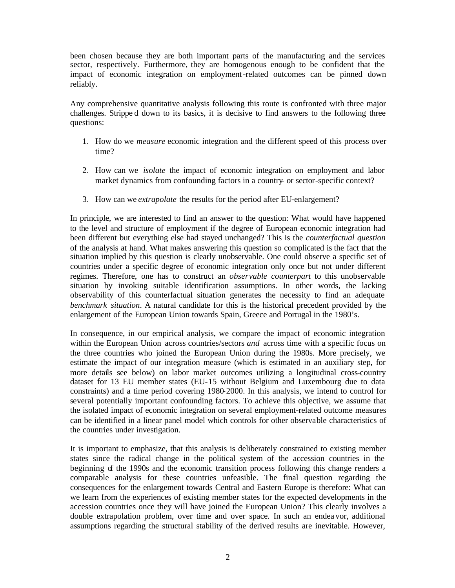been chosen because they are both important parts of the manufacturing and the services sector, respectively. Furthermore, they are homogenous enough to be confident that the impact of economic integration on employment-related outcomes can be pinned down reliably.

Any comprehensive quantitative analysis following this route is confronted with three major challenges. Strippe d down to its basics, it is decisive to find answers to the following three questions:

- 1. How do we *measure* economic integration and the different speed of this process over time?
- 2. How can we *isolate* the impact of economic integration on employment and labor market dynamics from confounding factors in a country- or sector-specific context?
- 3. How can we *extrapolate* the results for the period after EU-enlargement?

In principle, we are interested to find an answer to the question: What would have happened to the level and structure of employment if the degree of European economic integration had been different but everything else had stayed unchanged? This is the *counterfactual question* of the analysis at hand. What makes answering this question so complicated is the fact that the situation implied by this question is clearly unobservable. One could observe a specific set of countries under a specific degree of economic integration only once but not under different regimes. Therefore, one has to construct an *observable counterpart* to this unobservable situation by invoking suitable identification assumptions. In other words, the lacking observability of this counterfactual situation generates the necessity to find an adequate *benchmark situation*. A natural candidate for this is the historical precedent provided by the enlargement of the European Union towards Spain, Greece and Portugal in the 1980's.

In consequence, in our empirical analysis, we compare the impact of economic integration within the European Union across countries/sectors *and* across time with a specific focus on the three countries who joined the European Union during the 1980s. More precisely, we estimate the impact of our integration measure (which is estimated in an auxiliary step, for more details see below) on labor market outcomes utilizing a longitudinal cross-country dataset for 13 EU member states (EU-15 without Belgium and Luxembourg due to data constraints) and a time period covering 1980-2000. In this analysis, we intend to control for several potentially important confounding factors. To achieve this objective, we assume that the isolated impact of economic integration on several employment-related outcome measures can be identified in a linear panel model which controls for other observable characteristics of the countries under investigation.

It is important to emphasize, that this analysis is deliberately constrained to existing member states since the radical change in the political system of the accession countries in the beginning of the 1990s and the economic transition process following this change renders a comparable analysis for these countries unfeasible. The final question regarding the consequences for the enlargement towards Central and Eastern Europe is therefore: What can we learn from the experiences of existing member states for the expected developments in the accession countries once they will have joined the European Union? This clearly involves a double extrapolation problem, over time and over space. In such an endea vor, additional assumptions regarding the structural stability of the derived results are inevitable. However,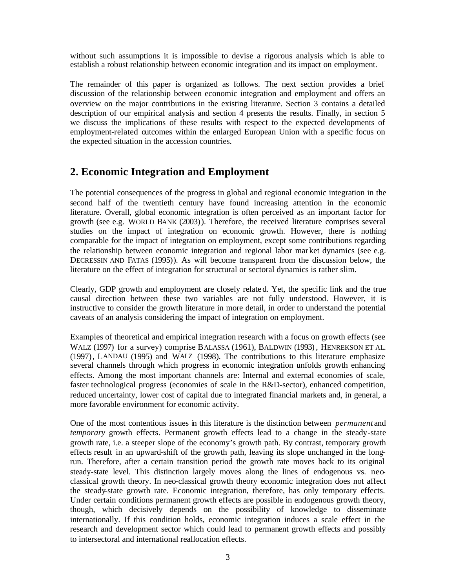without such assumptions it is impossible to devise a rigorous analysis which is able to establish a robust relationship between economic integration and its impact on employment.

The remainder of this paper is organized as follows. The next section provides a brief discussion of the relationship between economic integration and employment and offers an overview on the major contributions in the existing literature. Section 3 contains a detailed description of our empirical analysis and section 4 presents the results. Finally, in section 5 we discuss the implications of these results with respect to the expected developments of employment-related outcomes within the enlarged European Union with a specific focus on the expected situation in the accession countries.

## **2. Economic Integration and Employment**

The potential consequences of the progress in global and regional economic integration in the second half of the twentieth century have found increasing attention in the economic literature. Overall, global economic integration is often perceived as an important factor for growth (see e.g. WORLD BANK (2003)). Therefore, the received literature comprises several studies on the impact of integration on economic growth. However, there is nothing comparable for the impact of integration on employment, except some contributions regarding the relationship between economic integration and regional labor market dynamics (see e.g. DECRESSIN AND FATAS (1995)). As will become transparent from the discussion below, the literature on the effect of integration for structural or sectoral dynamics is rather slim.

Clearly, GDP growth and employment are closely relate d. Yet, the specific link and the true causal direction between these two variables are not fully understood. However, it is instructive to consider the growth literature in more detail, in order to understand the potential caveats of an analysis considering the impact of integration on employment.

Examples of theoretical and empirical integration research with a focus on growth effects (see WALZ (1997) for a survey) comprise BALASSA (1961), BALDWIN (1993), HENREKSON ET AL. (1997), LANDAU (1995) and WALZ (1998). The contributions to this literature emphasize several channels through which progress in economic integration unfolds growth enhancing effects. Among the most important channels are: Internal and external economies of scale, faster technological progress (economies of scale in the R&D-sector), enhanced competition, reduced uncertainty, lower cost of capital due to integrated financial markets and, in general, a more favorable environment for economic activity.

One of the most contentious issues in this literature is the distinction between *permanent* and *temporary* growth effects. Permanent growth effects lead to a change in the steady-state growth rate, i.e. a steeper slope of the economy's growth path. By contrast, temporary growth effects result in an upward-shift of the growth path, leaving its slope unchanged in the longrun. Therefore, after a certain transition period the growth rate moves back to its original steady-state level. This distinction largely moves along the lines of endogenous vs. neoclassical growth theory. In neo-classical growth theory economic integration does not affect the steady-state growth rate. Economic integration, therefore, has only temporary effects. Under certain conditions permanent growth effects are possible in endogenous growth theory, though, which decisively depends on the possibility of knowledge to disseminate internationally. If this condition holds, economic integration induces a scale effect in the research and development sector which could lead to permanent growth effects and possibly to intersectoral and international reallocation effects.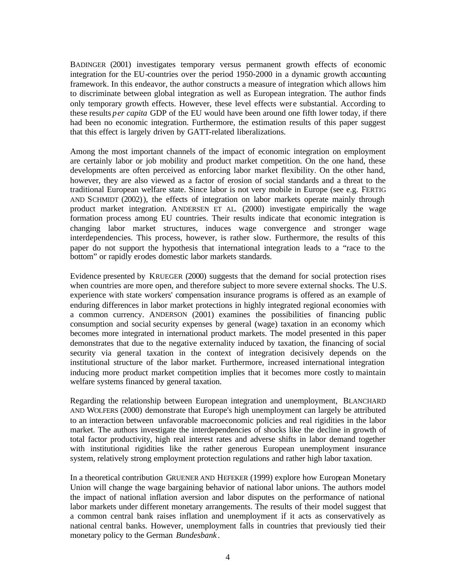BADINGER (2001) investigates temporary versus permanent growth effects of economic integration for the EU-countries over the period 1950-2000 in a dynamic growth accounting framework. In this endeavor, the author constructs a measure of integration which allows him to discriminate between global integration as well as European integration. The author finds only temporary growth effects. However, these level effects wer e substantial. According to these results *per capita* GDP of the EU would have been around one fifth lower today, if there had been no economic integration. Furthermore, the estimation results of this paper suggest that this effect is largely driven by GATT-related liberalizations.

Among the most important channels of the impact of economic integration on employment are certainly labor or job mobility and product market competition. On the one hand, these developments are often perceived as enforcing labor market flexibility. On the other hand, however, they are also viewed as a factor of erosion of social standards and a threat to the traditional European welfare state. Since labor is not very mobile in Europe (see e.g. FERTIG AND SCHMIDT (2002)), the effects of integration on labor markets operate mainly through product market integration. ANDERSEN ET AL. (2000) investigate empirically the wage formation process among EU countries. Their results indicate that economic integration is changing labor market structures, induces wage convergence and stronger wage interdependencies. This process, however, is rather slow. Furthermore, the results of this paper do not support the hypothesis that international integration leads to a "race to the bottom" or rapidly erodes domestic labor markets standards.

Evidence presented by KRUEGER (2000) suggests that the demand for social protection rises when countries are more open, and therefore subject to more severe external shocks. The U.S. experience with state workers' compensation insurance programs is offered as an example of enduring differences in labor market protections in highly integrated regional economies with a common currency. ANDERSON (2001) examines the possibilities of financing public consumption and social security expenses by general (wage) taxation in an economy which becomes more integrated in international product markets. The model presented in this paper demonstrates that due to the negative externality induced by taxation, the financing of social security via general taxation in the context of integration decisively depends on the institutional structure of the labor market. Furthermore, increased international integration inducing more product market competition implies that it becomes more costly to maintain welfare systems financed by general taxation.

Regarding the relationship between European integration and unemployment, BLANCHARD AND WOLFERS (2000) demonstrate that Europe's high unemployment can largely be attributed to an interaction between unfavorable macroeconomic policies and real rigidities in the labor market. The authors investigate the interdependencies of shocks like the decline in growth of total factor productivity, high real interest rates and adverse shifts in labor demand together with institutional rigidities like the rather generous European unemployment insurance system, relatively strong employment protection regulations and rather high labor taxation.

In a theoretical contribution GRUENER AND HEFEKER (1999) explore how European Monetary Union will change the wage bargaining behavior of national labor unions. The authors model the impact of national inflation aversion and labor disputes on the performance of national labor markets under different monetary arrangements. The results of their model suggest that a common central bank raises inflation and unemployment if it acts as conservatively as national central banks. However, unemployment falls in countries that previously tied their monetary policy to the German *Bundesbank* .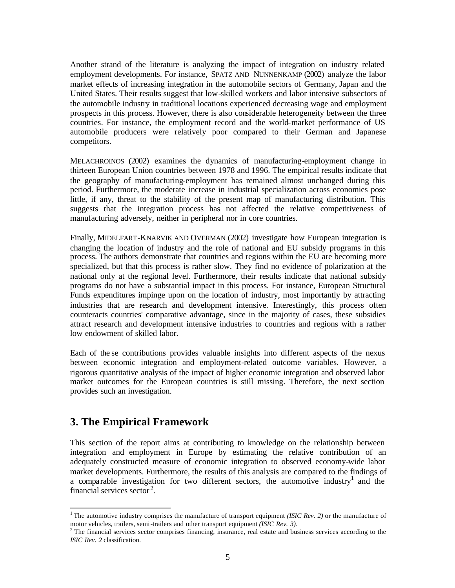Another strand of the literature is analyzing the impact of integration on industry related employment developments. For instance, SPATZ AND NUNNENKAMP (2002) analyze the labor market effects of increasing integration in the automobile sectors of Germany, Japan and the United States. Their results suggest that low-skilled workers and labor intensive subsectors of the automobile industry in traditional locations experienced decreasing wage and employment prospects in this process. However, there is also considerable heterogeneity between the three countries. For instance, the employment record and the world-market performance of US automobile producers were relatively poor compared to their German and Japanese competitors.

MELACHROINOS (2002) examines the dynamics of manufacturing-employment change in thirteen European Union countries between 1978 and 1996. The empirical results indicate that the geography of manufacturing-employment has remained almost unchanged during this period. Furthermore, the moderate increase in industrial specialization across economies pose little, if any, threat to the stability of the present map of manufacturing distribution. This suggests that the integration process has not affected the relative competitiveness of manufacturing adversely, neither in peripheral nor in core countries.

Finally, MIDELFART-KNARVIK AND OVERMAN (2002) investigate how European integration is changing the location of industry and the role of national and EU subsidy programs in this process. The authors demonstrate that countries and regions within the EU are becoming more specialized, but that this process is rather slow. They find no evidence of polarization at the national only at the regional level. Furthermore, their results indicate that national subsidy programs do not have a substantial impact in this process. For instance, European Structural Funds expenditures impinge upon on the location of industry, most importantly by attracting industries that are research and development intensive. Interestingly, this process often counteracts countries' comparative advantage, since in the majority of cases, these subsidies attract research and development intensive industries to countries and regions with a rather low endowment of skilled labor.

Each of the se contributions provides valuable insights into different aspects of the nexus between economic integration and employment-related outcome variables. However, a rigorous quantitative analysis of the impact of higher economic integration and observed labor market outcomes for the European countries is still missing. Therefore, the next section provides such an investigation.

## **3. The Empirical Framework**

 $\overline{a}$ 

This section of the report aims at contributing to knowledge on the relationship between integration and employment in Europe by estimating the relative contribution of an adequately constructed measure of economic integration to observed economy-wide labor market developments. Furthermore, the results of this analysis are compared to the findings of a comparable investigation for two different sectors, the automotive industry<sup>1</sup> and the financial services sector<sup>2</sup>.

<sup>&</sup>lt;sup>1</sup>The automotive industry comprises the manufacture of transport equipment *(ISIC Rev. 2)* or the manufacture of motor vehicles, trailers, semi-trailers and other transport equipment *(ISIC Rev. 3)*.

 $2$  The financial services sector comprises financing, insurance, real estate and business services according to the *ISIC Rev. 2* classification.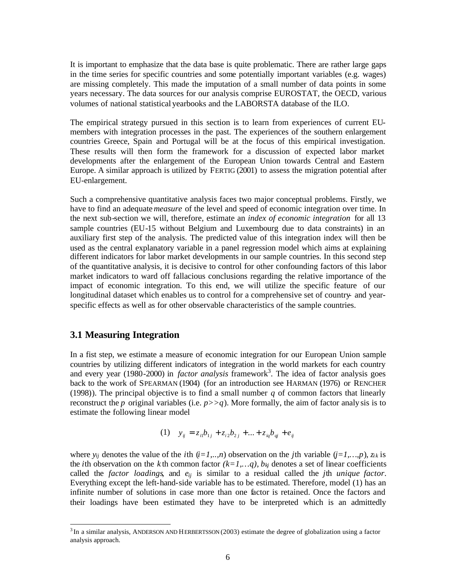It is important to emphasize that the data base is quite problematic. There are rather large gaps in the time series for specific countries and some potentially important variables (e.g. wages) are missing completely. This made the imputation of a small number of data points in some years necessary. The data sources for our analysis comprise EUROSTAT, the OECD, various volumes of national statistical yearbooks and the LABORSTA database of the ILO.

The empirical strategy pursued in this section is to learn from experiences of current EUmembers with integration processes in the past. The experiences of the southern enlargement countries Greece, Spain and Portugal will be at the focus of this empirical investigation. These results will then form the framework for a discussion of expected labor market developments after the enlargement of the European Union towards Central and Eastern Europe. A similar approach is utilized by FERTIG (2001) to assess the migration potential after EU-enlargement.

Such a comprehensive quantitative analysis faces two major conceptual problems. Firstly, we have to find an adequate *measure* of the level and speed of economic integration over time. In the next sub-section we will, therefore, estimate an *index of economic integration* for all 13 sample countries (EU-15 without Belgium and Luxembourg due to data constraints) in an auxiliary first step of the analysis. The predicted value of this integration index will then be used as the central explanatory variable in a panel regression model which aims at explaining different indicators for labor market developments in our sample countries. In this second step of the quantitative analysis, it is decisive to control for other confounding factors of this labor market indicators to ward off fallacious conclusions regarding the relative importance of the impact of economic integration. To this end, we will utilize the specific feature of our longitudinal dataset which enables us to control for a comprehensive set of country- and yearspecific effects as well as for other observable characteristics of the sample countries.

#### **3.1 Measuring Integration**

 $\overline{\phantom{a}}$ 

In a fist step, we estimate a measure of economic integration for our European Union sample countries by utilizing different indicators of integration in the world markets for each country and every year (1980-2000) in *factor analysis* framework<sup>3</sup>. The idea of factor analysis goes back to the work of SPEARMAN (1904) (for an introduction see HARMAN (1976) or RENCHER (1998)). The principal objective is to find a small number *q* of common factors that linearly reconstruct the *p* original variables (i.e.  $p \geq q$ ). More formally, the aim of factor analy sis is to estimate the following linear model

(1) 
$$
y_{ij} = z_{i1}b_{1j} + z_{i2}b_{2j} + \dots + z_{iq}b_{qi} + e_{ij}
$$

where  $y_{ij}$  denotes the value of the *i*th  $(i=1,...,n)$  observation on the *j*th variable  $(j=1,...,p)$ ,  $z_{ik}$  is the *i*th observation on the *k* th common factor  $(k=1,...q)$ ,  $b_{kj}$  denotes a set of linear coefficients called the *factor loadings*, and *eij* is similar to a residual called the *j*th *unique factor*. Everything except the left-hand-side variable has to be estimated. Therefore, model (1) has an infinite number of solutions in case more than one factor is retained. Once the factors and their loadings have been estimated they have to be interpreted which is an admittedly

<sup>&</sup>lt;sup>3</sup>In a similar analysis, ANDERSON AND HERBERTSSON (2003) estimate the degree of globalization using a factor analysis approach.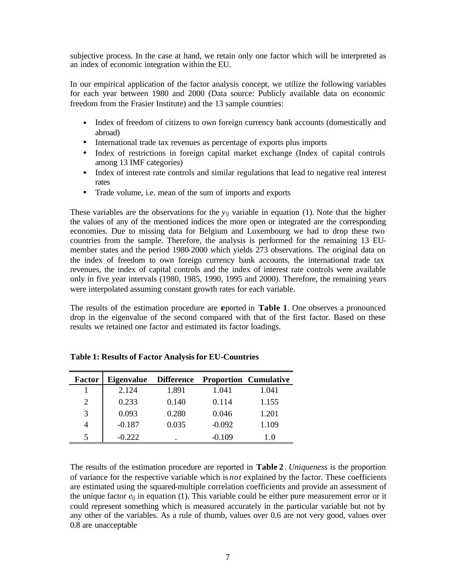subjective process. In the case at hand, we retain only one factor which will be interpreted as an index of economic integration within the EU.

In our empirical application of the factor analysis concept, we utilize the following variables for each year between 1980 and 2000 (Data source: Publicly available data on economic freedom from the Frasier Institute) and the 13 sample countries:

- Index of freedom of citizens to own foreign currency bank accounts (domestically and abroad)
- International trade tax revenues as percentage of exports plus imports
- Index of restrictions in foreign capital market exchange (Index of capital controls among 13 IMF categories)
- Index of interest rate controls and similar regulations that lead to negative real interest rates
- Trade volume, i.e. mean of the sum of imports and exports

These variables are the observations for the *yij* variable in equation (1). Note that the higher the values of any of the mentioned indices the more open or integrated are the corresponding economies. Due to missing data for Belgium and Luxembourg we had to drop these two countries from the sample. Therefore, the analysis is performed for the remaining 13 EUmember states and the period 1980-2000 which yields 273 observations. The original data on the index of freedom to own foreign currency bank accounts, the international trade tax revenues, the index of capital controls and the index of interest rate controls were available only in five year intervals (1980, 1985, 1990, 1995 and 2000). Therefore, the remaining years were interpolated assuming constant growth rates for each variable.

The results of the estimation procedure are reported in **Table 1**. One observes a pronounced drop in the eigenvalue of the second compared with that of the first factor. Based on these results we retained one factor and estimated its factor loadings.

| Factor | <b>Eigenvalue</b> | <b>Difference</b> | <b>Proportion Cumulative</b> |       |
|--------|-------------------|-------------------|------------------------------|-------|
|        | 2.124             | 1.891             | 1.041                        | 1.041 |
| 2      | 0.233             | 0.140             | 0.114                        | 1.155 |
| 3      | 0.093             | 0.280             | 0.046                        | 1.201 |
|        | $-0.187$          | 0.035             | $-0.092$                     | 1.109 |
|        | -0.222            |                   | -0.109                       | 1.0   |

**Table 1: Results of Factor Analysis for EU-Countries**

The results of the estimation procedure are reported in **Table 2** . *Uniqueness* is the proportion of variance for the respective variable which is *not* explained by the factor. These coefficients are estimated using the squared-multiple correlation coefficients and provide an assessment of the unique factor *eij* in equation (1). This variable could be either pure measurement error or it could represent something which is measured accurately in the particular variable but not by any other of the variables. As a rule of thumb, values over 0.6 are not very good, values over 0.8 are unacceptable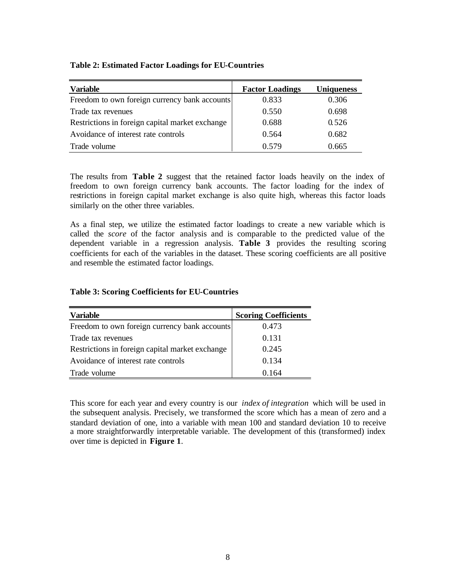#### **Table 2: Estimated Factor Loadings for EU-Countries**

| <b>Variable</b>                                 | <b>Factor Loadings</b> | <b>Uniqueness</b> |
|-------------------------------------------------|------------------------|-------------------|
| Freedom to own foreign currency bank accounts   | 0.833                  | 0.306             |
| Trade tax revenues                              | 0.550                  | 0.698             |
| Restrictions in foreign capital market exchange | 0.688                  | 0.526             |
| Avoidance of interest rate controls             | 0.564                  | 0.682             |
| Trade volume                                    | 0.579                  | 0.665             |

The results from **Table 2** suggest that the retained factor loads heavily on the index of freedom to own foreign currency bank accounts. The factor loading for the index of restrictions in foreign capital market exchange is also quite high, whereas this factor loads similarly on the other three variables.

As a final step, we utilize the estimated factor loadings to create a new variable which is called the *score* of the factor analysis and is comparable to the predicted value of the dependent variable in a regression analysis. **Table 3** provides the resulting scoring coefficients for each of the variables in the dataset. These scoring coefficients are all positive and resemble the estimated factor loadings.

| <b>Variable</b>                                 | <b>Scoring Coefficients</b> |
|-------------------------------------------------|-----------------------------|
| Freedom to own foreign currency bank accounts   | 0.473                       |
| Trade tax revenues                              | 0.131                       |
| Restrictions in foreign capital market exchange | 0.245                       |
| Avoidance of interest rate controls             | 0.134                       |
| Trade volume                                    | 0.164                       |

#### **Table 3: Scoring Coefficients for EU-Countries**

This score for each year and every country is our *index of integration* which will be used in the subsequent analysis. Precisely, we transformed the score which has a mean of zero and a standard deviation of one, into a variable with mean 100 and standard deviation 10 to receive a more straightforwardly interpretable variable. The development of this (transformed) index over time is depicted in **Figure 1**.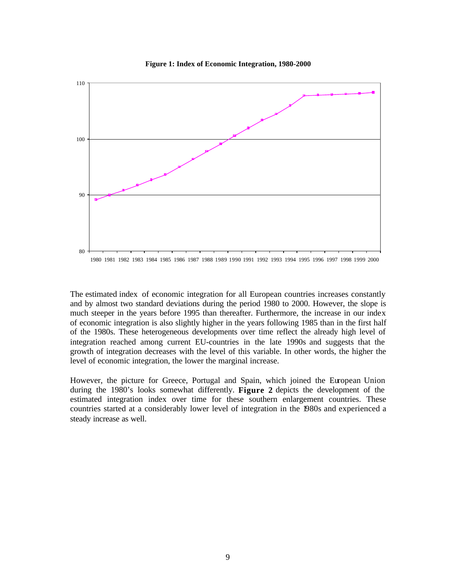



1980 1981 1982 1983 1984 1985 1986 1987 1988 1989 1990 1991 1992 1993 1994 1995 1996 1997 1998 1999 2000

The estimated index of economic integration for all European countries increases constantly and by almost two standard deviations during the period 1980 to 2000. However, the slope is much steeper in the years before 1995 than thereafter. Furthermore, the increase in our index of economic integration is also slightly higher in the years following 1985 than in the first half of the 1980s. These heterogeneous developments over time reflect the already high level of integration reached among current EU-countries in the late 1990s and suggests that the growth of integration decreases with the level of this variable. In other words, the higher the level of economic integration, the lower the marginal increase.

However, the picture for Greece, Portugal and Spain, which joined the European Union during the 1980's looks somewhat differently. **Figure 2** depicts the development of the estimated integration index over time for these southern enlargement countries. These countries started at a considerably lower level of integration in the 1980s and experienced a steady increase as well.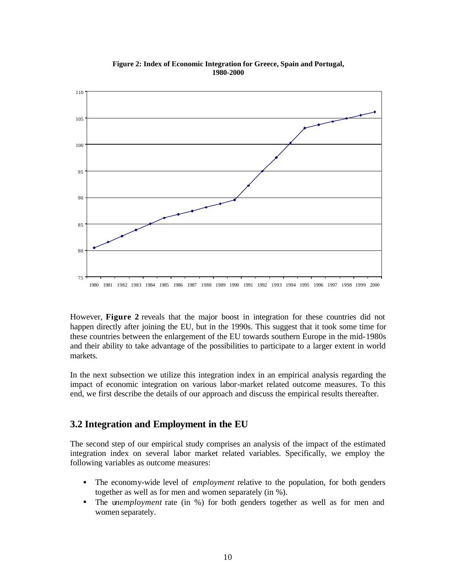

**Figure 2: Index of Economic Integration for Greece, Spain and Portugal, 1980-2000**

However, **Figure 2** reveals that the major boost in integration for these countries did not happen directly after joining the EU, but in the 1990s. This suggest that it took some time for these countries between the enlargement of the EU towards southern Europe in the mid-1980s and their ability to take advantage of the possibilities to participate to a larger extent in world markets.

In the next subsection we utilize this integration index in an empirical analysis regarding the impact of economic integration on various labor-market related outcome measures. To this end, we first describe the details of our approach and discuss the empirical results thereafter.

#### **3.2 Integration and Employment in the EU**

The second step of our empirical study comprises an analysis of the impact of the estimated integration index on several labor market related variables. Specifically, we employ the following variables as outcome measures:

- The economy-wide level of *employment* relative to the population, for both genders together as well as for men and women separately (in %).
- The u*nemployment* rate (in %) for both genders together as well as for men and women separately.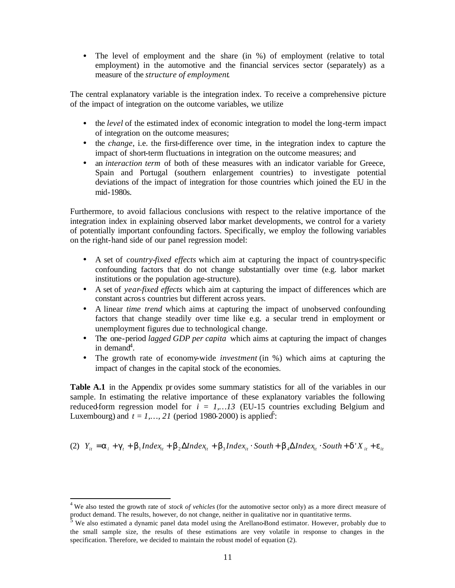• The level of employment and the share (in %) of employment (relative to total employment) in the automotive and the financial services sector (separately) as a measure of the *structure of employment*.

The central explanatory variable is the integration index. To receive a comprehensive picture of the impact of integration on the outcome variables, we utilize

- the *level* of the estimated index of economic integration to model the long-term impact of integration on the outcome measures;
- the *change*, i.e. the first-difference over time, in the integration index to capture the impact of short-term fluctuations in integration on the outcome measures; and
- an *interaction term* of both of these measures with an indicator variable for Greece, Spain and Portugal (southern enlargement countries) to investigate potential deviations of the impact of integration for those countries which joined the EU in the mid-1980s.

Furthermore, to avoid fallacious conclusions with respect to the relative importance of the integration index in explaining observed labor market developments, we control for a variety of potentially important confounding factors. Specifically, we employ the following variables on the right-hand side of our panel regression model:

- A set of *country-fixed effects* which aim at capturing the impact of country-specific confounding factors that do not change substantially over time (e.g. labor market institutions or the population age-structure).
- A set of *year-fixed effects* which aim at capturing the impact of differences which are constant across countries but different across years.
- A linear *time trend* which aims at capturing the impact of unobserved confounding factors that change steadily over time like e.g. a secular trend in employment or unemployment figures due to technological change.
- The one-period *lagged GDP per capita* which aims at capturing the impact of changes in demand<sup>4</sup>.
- The growth rate of economy-wide *investment* (in %) which aims at capturing the impact of changes in the capital stock of the economies.

**Table A.1** in the Appendix pr ovides some summary statistics for all of the variables in our sample. In estimating the relative importance of these explanatory variables the following reduced-form regression model for  $i = 1,...13$  (EU-15 countries excluding Belgium and Luxembourg) and  $t = 1, ..., 21$  (period 1980-2000) is applied<sup>5</sup>:

(2) 
$$
Y_{ii} = a_i + g_i + b_1 Index_{it} + b_2 \Delta Index_{it} + b_3 Index_{it} \cdot South + b_4 \Delta Index_{it} \cdot South + d'X_{it} + e_{it}
$$

 $\overline{\phantom{a}}$ 

<sup>&</sup>lt;sup>4</sup> We also tested the growth rate of *stock of vehicles* (for the automotive sector only) as a more direct measure of product demand. The results, however, do not change, neither in qualitative nor in quantitative terms.

 $5$  We also estimated a dynamic panel data model using the Arellano-Bond estimator. However, probably due to the small sample size, the results of these estimations are very volatile in response to changes in the specification. Therefore, we decided to maintain the robust model of equation (2).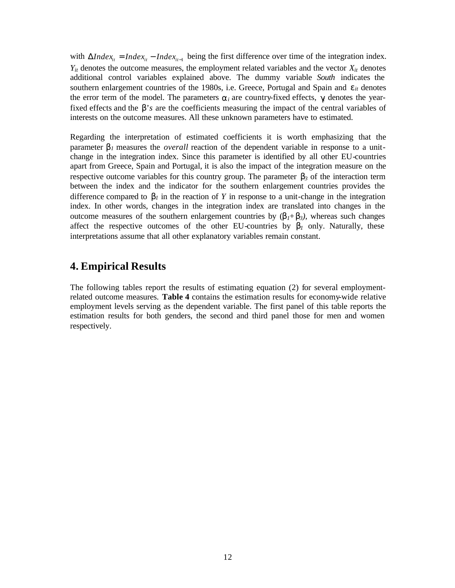with  $\Delta Index_{it} = Index_{it} - Index_{it-1}$  being the first difference over time of the integration index.  $Y_{it}$  denotes the outcome measures, the employment related variables and the vector  $X_{it}$  denotes additional control variables explained above. The dummy variable *South* indicates the southern enlargement countries of the 1980s, i.e. Greece, Portugal and Spain and  $e_{it}$  denotes the error term of the model. The parameters  $a_i$  are country-fixed effects,  $g$  denotes the yearfixed effects and the *b's* are the coefficients measuring the impact of the central variables of interests on the outcome measures. All these unknown parameters have to estimated.

Regarding the interpretation of estimated coefficients it is worth emphasizing that the parameter  $\mathbf{b}_l$  measures the *overall* reaction of the dependent variable in response to a unitchange in the integration index. Since this parameter is identified by all other EU-countries apart from Greece, Spain and Portugal, it is also the impact of the integration measure on the respective outcome variables for this country group. The parameter  $\mathbf{b}_3$  of the interaction term between the index and the indicator for the southern enlargement countries provides the difference compared to  $b_l$  in the reaction of Y in response to a unit-change in the integration index. In other words, changes in the integration index are translated into changes in the outcome measures of the southern enlargement countries by  $(b_1 + b_3)$ , whereas such changes affect the respective outcomes of the other EU-countries by  **only. Naturally, these** interpretations assume that all other explanatory variables remain constant.

## **4. Empirical Results**

The following tables report the results of estimating equation (2) for several employmentrelated outcome measures. **Table 4** contains the estimation results for economy-wide relative employment levels serving as the dependent variable. The first panel of this table reports the estimation results for both genders, the second and third panel those for men and women respectively.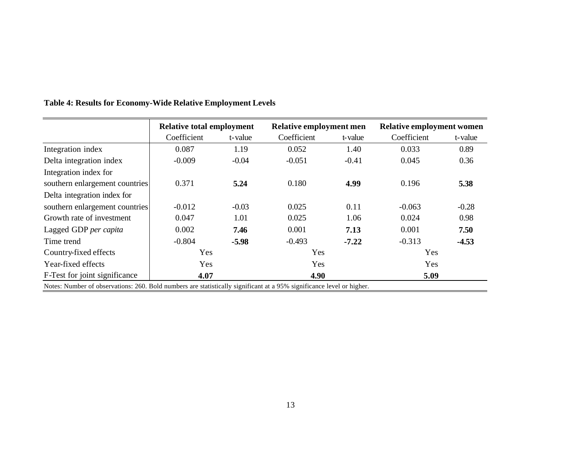|                                                                                                                       | <b>Relative total employment</b> |         | Relative employment men |         | <b>Relative employment women</b> |         |
|-----------------------------------------------------------------------------------------------------------------------|----------------------------------|---------|-------------------------|---------|----------------------------------|---------|
|                                                                                                                       | Coefficient                      | t-value | Coefficient             | t-value | Coefficient                      | t-value |
| Integration index                                                                                                     | 0.087                            | 1.19    | 0.052                   | 1.40    | 0.033                            | 0.89    |
| Delta integration index                                                                                               | $-0.009$                         | $-0.04$ | $-0.051$                | $-0.41$ | 0.045                            | 0.36    |
| Integration index for                                                                                                 |                                  |         |                         |         |                                  |         |
| southern enlargement countries                                                                                        | 0.371                            | 5.24    | 0.180                   | 4.99    | 0.196                            | 5.38    |
| Delta integration index for                                                                                           |                                  |         |                         |         |                                  |         |
| southern enlargement countries                                                                                        | $-0.012$                         | $-0.03$ | 0.025                   | 0.11    | $-0.063$                         | $-0.28$ |
| Growth rate of investment                                                                                             | 0.047                            | 1.01    | 0.025                   | 1.06    | 0.024                            | 0.98    |
| Lagged GDP per capita                                                                                                 | 0.002                            | 7.46    | 0.001                   | 7.13    | 0.001                            | 7.50    |
| Time trend                                                                                                            | $-0.804$                         | $-5.98$ | $-0.493$                | $-7.22$ | $-0.313$                         | $-4.53$ |
| Country-fixed effects                                                                                                 | Yes                              |         | Yes                     |         | Yes                              |         |
| Year-fixed effects                                                                                                    | <b>Yes</b>                       |         | Yes                     |         | Yes                              |         |
| F-Test for joint significance                                                                                         | 4.07                             |         | 4.90                    |         | 5.09                             |         |
| Notes: Number of observations: 260. Bold numbers are statistically significant at a 95% significance level or higher. |                                  |         |                         |         |                                  |         |

# **Table 4: Results for Economy-Wide Relative Employment Levels**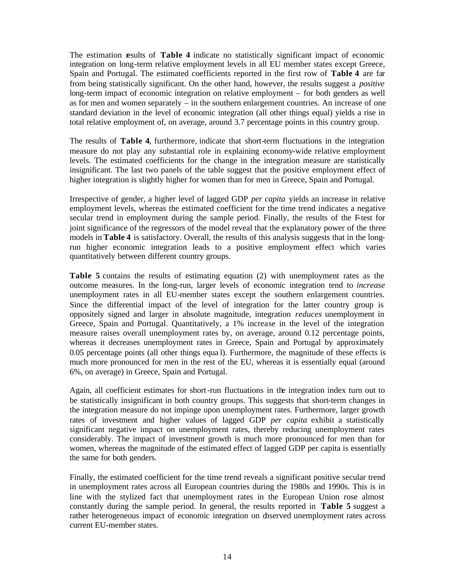The estimation results of **Table 4** indicate no statistically significant impact of economic integration on long-term relative employment levels in all EU member states except Greece, Spain and Portugal. The estimated coefficients reported in the first row of **Table 4** are far from being statistically significant. On the other hand, however, the results suggest a *positive* long-term impact of economic integration on relative employment – for both genders as well as for men and women separately – in the southern enlargement countries. An increase of one standard deviation in the level of economic integration (all other things equal) yields a rise in total relative employment of, on average, around 3.7 percentage points in this country group.

The results of **Table 4**, furthermore, indicate that short-term fluctuations in the integration measure do not play any substantial role in explaining economy-wide relative employment levels. The estimated coefficients for the change in the integration measure are statistically insignificant. The last two panels of the table suggest that the positive employment effect of higher integration is slightly higher for women than for men in Greece, Spain and Portugal.

Irrespective of gender, a higher level of lagged GDP *per capita* yields an increase in relative employment levels, whereas the estimated coefficient for the time trend indicates a negative secular trend in employment during the sample period. Finally, the results of the F-test for joint significance of the regressors of the model reveal that the explanatory power of the three models in **Table 4** is satisfactory. Overall, the results of this analysis suggests that in the longrun higher economic integration leads to a positive employment effect which varies quantitatively between different country groups.

**Table 5** contains the results of estimating equation (2) with unemployment rates as the outcome measures. In the long-run, larger levels of economic integration tend to *increase* unemployment rates in all EU-member states except the southern enlargement countries. Since the differential impact of the level of integration for the latter country group is oppositely signed and larger in absolute magnitude, integration *reduces* unemployment in Greece, Spain and Portugal. Quantitatively, a 1% increase in the level of the integration measure raises overall unemployment rates by, on average, around 0.12 percentage points, whereas it decreases unemployment rates in Greece, Spain and Portugal by approximately 0.05 percentage points (all other things equa l). Furthermore, the magnitude of these effects is much more pronounced for men in the rest of the EU, whereas it is essentially equal (around 6%, on average) in Greece, Spain and Portugal.

Again, all coefficient estimates for short-run fluctuations in the integration index turn out to be statistically insignificant in both country groups. This suggests that short-term changes in the integration measure do not impinge upon unemployment rates. Furthermore, larger growth rates of investment and higher values of lagged GDP *per capita* exhibit a statistically significant negative impact on unemployment rates, thereby reducing unemployment rates considerably. The impact of investment growth is much more pronounced for men than for women, whereas the magnitude of the estimated effect of lagged GDP per capita is essentially the same for both genders.

Finally, the estimated coefficient for the time trend reveals a significant positive secular trend in unemployment rates across all European countries during the 1980s and 1990s. This is in line with the stylized fact that unemployment rates in the European Union rose almost constantly during the sample period. In general, the results reported in **Table 5** suggest a rather heterogeneous impact of economic integration on observed unemployment rates across current EU-member states.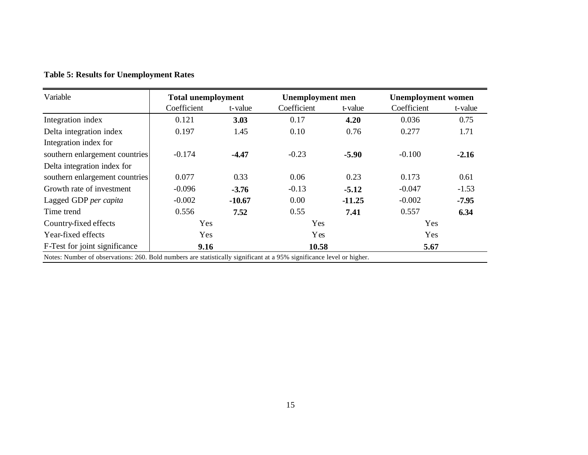| Variable                                                                                                              | <b>Total unemployment</b> |          |             | <b>Unemployment</b> men |             | <b>Unemployment women</b> |  |
|-----------------------------------------------------------------------------------------------------------------------|---------------------------|----------|-------------|-------------------------|-------------|---------------------------|--|
|                                                                                                                       | Coefficient               | t-value  | Coefficient | t-value                 | Coefficient | t-value                   |  |
| Integration index                                                                                                     | 0.121                     | 3.03     | 0.17        | 4.20                    | 0.036       | 0.75                      |  |
| Delta integration index                                                                                               | 0.197                     | 1.45     | 0.10        | 0.76                    | 0.277       | 1.71                      |  |
| Integration index for                                                                                                 |                           |          |             |                         |             |                           |  |
| southern enlargement countries                                                                                        | $-0.174$                  | $-4.47$  | $-0.23$     | $-5.90$                 | $-0.100$    | $-2.16$                   |  |
| Delta integration index for                                                                                           |                           |          |             |                         |             |                           |  |
| southern enlargement countries                                                                                        | 0.077                     | 0.33     | 0.06        | 0.23                    | 0.173       | 0.61                      |  |
| Growth rate of investment                                                                                             | $-0.096$                  | $-3.76$  | $-0.13$     | $-5.12$                 | $-0.047$    | $-1.53$                   |  |
| Lagged GDP per capita                                                                                                 | $-0.002$                  | $-10.67$ | 0.00        | $-11.25$                | $-0.002$    | $-7.95$                   |  |
| Time trend                                                                                                            | 0.556                     | 7.52     | 0.55        | 7.41                    | 0.557       | 6.34                      |  |
| Country-fixed effects                                                                                                 | Yes                       |          | Yes         |                         | Yes         |                           |  |
| Year-fixed effects                                                                                                    | Yes                       |          | <b>Y</b> es |                         | Yes         |                           |  |
| F-Test for joint significance                                                                                         | 9.16                      |          | 10.58       |                         | 5.67        |                           |  |
| Notes: Number of observations: 260. Bold numbers are statistically significant at a 95% significance level or higher. |                           |          |             |                         |             |                           |  |

#### **Table 5: Results for Unemployment Rates**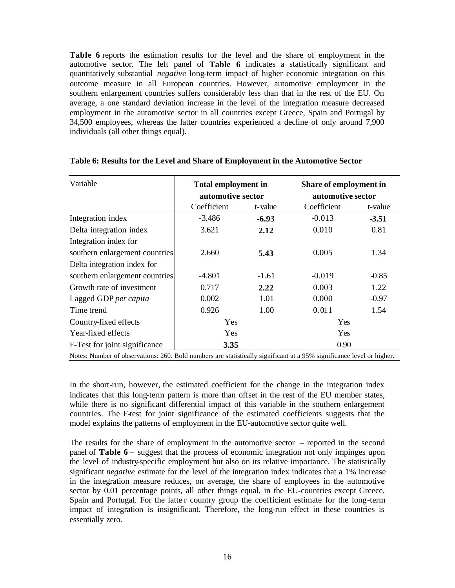**Table 6** reports the estimation results for the level and the share of employment in the automotive sector. The left panel of **Table 6** indicates a statistically significant and quantitatively substantial *negative* long-term impact of higher economic integration on this outcome measure in all European countries. However, automotive employment in the southern enlargement countries suffers considerably less than that in the rest of the EU. On average, a one standard deviation increase in the level of the integration measure decreased employment in the automotive sector in all countries except Greece, Spain and Portugal by 34,500 employees, whereas the latter countries experienced a decline of only around 7,900 individuals (all other things equal).

| Variable                                                                                                              | <b>Total employment in</b><br>automotive sector |         | Share of employment in<br>automotive sector |         |  |
|-----------------------------------------------------------------------------------------------------------------------|-------------------------------------------------|---------|---------------------------------------------|---------|--|
|                                                                                                                       | Coefficient                                     | t-value | Coefficient                                 | t-value |  |
| Integration index                                                                                                     | $-3.486$                                        | $-6.93$ | $-0.013$                                    | $-3.51$ |  |
| Delta integration index                                                                                               | 3.621                                           | 2.12    | 0.010                                       | 0.81    |  |
| Integration index for                                                                                                 |                                                 |         |                                             |         |  |
| southern enlargement countries                                                                                        | 2.660                                           | 5.43    | 0.005                                       | 1.34    |  |
| Delta integration index for                                                                                           |                                                 |         |                                             |         |  |
| southern enlargement countries                                                                                        | -4.801                                          | $-1.61$ | $-0.019$                                    | $-0.85$ |  |
| Growth rate of investment                                                                                             | 0.717                                           | 2.22    | 0.003                                       | 1.22    |  |
| Lagged GDP per capita                                                                                                 | 0.002                                           | 1.01    | 0.000                                       | $-0.97$ |  |
| Time trend                                                                                                            | 0.926                                           | 1.00    | 0.011                                       | 1.54    |  |
| Country-fixed effects                                                                                                 | Yes                                             |         | Yes                                         |         |  |
| Year-fixed effects                                                                                                    | Yes<br>Yes                                      |         |                                             |         |  |
| F-Test for joint significance                                                                                         | 0.90<br>3.35                                    |         |                                             |         |  |
| Notes: Number of observations: 260. Bold numbers are statistically significant at a 95% significance level or higher. |                                                 |         |                                             |         |  |

#### **Table 6: Results for the Level and Share of Employment in the Automotive Sector**

In the short-run, however, the estimated coefficient for the change in the integration index indicates that this long-term pattern is more than offset in the rest of the EU member states, while there is no significant differential impact of this variable in the southern enlargement countries. The F-test for joint significance of the estimated coefficients suggests that the model explains the patterns of employment in the EU-automotive sector quite well.

The results for the share of employment in the automotive sector – reported in the second panel of **Table 6** – suggest that the process of economic integration not only impinges upon the level of industry-specific employment but also on its relative importance. The statistically significant *negative* estimate for the level of the integration index indicates that a 1% increase in the integration measure reduces, on average, the share of employees in the automotive sector by 0.01 percentage points, all other things equal, in the EU-countries except Greece, Spain and Portugal. For the latte r country group the coefficient estimate for the long-term impact of integration is insignificant. Therefore, the long-run effect in these countries is essentially zero.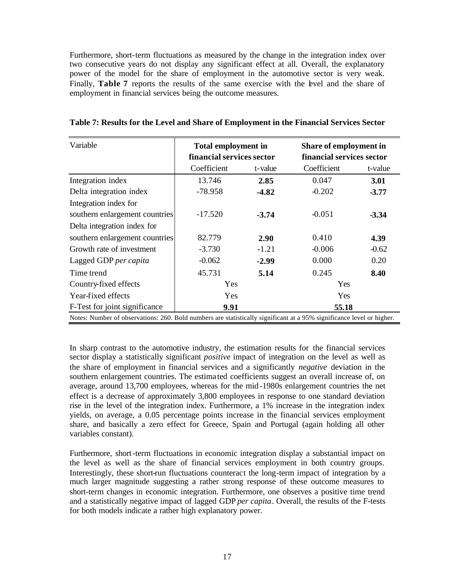Furthermore, short-term fluctuations as measured by the change in the integration index over two consecutive years do not display any significant effect at all. Overall, the explanatory power of the model for the share of employment in the automotive sector is very weak. Finally, **Table 7** reports the results of the same exercise with the level and the share of employment in financial services being the outcome measures.

| Variable                                                                                                              | <b>Total employment in</b><br>financial services sector |         |             | Share of employment in<br>financial services sector |  |  |
|-----------------------------------------------------------------------------------------------------------------------|---------------------------------------------------------|---------|-------------|-----------------------------------------------------|--|--|
|                                                                                                                       | Coefficient                                             | t-value | Coefficient | t-value                                             |  |  |
| Integration index                                                                                                     | 13.746                                                  | 2.85    | 0.047       | 3.01                                                |  |  |
| Delta integration index                                                                                               | $-78.958$                                               | $-4.82$ | $-0.202$    | $-3.77$                                             |  |  |
| Integration index for                                                                                                 |                                                         |         |             |                                                     |  |  |
| southern enlargement countries                                                                                        | $-17.520$                                               | $-3.74$ | $-0.051$    | $-3.34$                                             |  |  |
| Delta integration index for                                                                                           |                                                         |         |             |                                                     |  |  |
| southern enlargement countries                                                                                        | 82.779                                                  | 2.90    | 0.410       | 4.39                                                |  |  |
| Growth rate of investment                                                                                             | $-3.730$                                                | $-1.21$ | $-0.006$    | $-0.62$                                             |  |  |
| Lagged GDP per capita                                                                                                 | $-0.062$                                                | $-2.99$ | 0.000       | 0.20                                                |  |  |
| Time trend                                                                                                            | 45.731                                                  | 5.14    | 0.245       | 8.40                                                |  |  |
| Country-fixed effects                                                                                                 | Yes                                                     |         | Yes         |                                                     |  |  |
| Year-fixed effects                                                                                                    | Yes<br>Yes                                              |         |             |                                                     |  |  |
| F-Test for joint significance                                                                                         | 9.91                                                    | 55.18   |             |                                                     |  |  |
| Notes: Number of observations: 260. Bold numbers are statistically significant at a 95% significance level or higher. |                                                         |         |             |                                                     |  |  |

**Table 7: Results for the Level and Share of Employment in the Financial Services Sector**

In sharp contrast to the automotive industry, the estimation results for the financial services sector display a statistically significant *positive* impact of integration on the level as well as the share of employment in financial services and a significantly *negative* deviation in the southern enlargement countries. The estima ted coefficients suggest an overall increase of, on average, around 13,700 employees, whereas for the mid -1980s enlargement countries the net effect is a decrease of approximately 3,800 employees in response to one standard deviation rise in the level of the integration index. Furthermore, a 1% increase in the integration index yields, on average, a 0.05 percentage points increase in the financial services employment share, and basically a zero effect for Greece, Spain and Portugal (again holding all other variables constant).

Furthermore, short-term fluctuations in economic integration display a substantial impact on the level as well as the share of financial services employment in both country groups. Interestingly, these short-run fluctuations counteract the long-term impact of integration by a much larger magnitude suggesting a rather strong response of these outcome measures to short-term changes in economic integration. Furthermore, one observes a positive time trend and a statistically negative impact of lagged GDP *per capita*. Overall, the results of the F-tests for both models indicate a rather high explanatory power.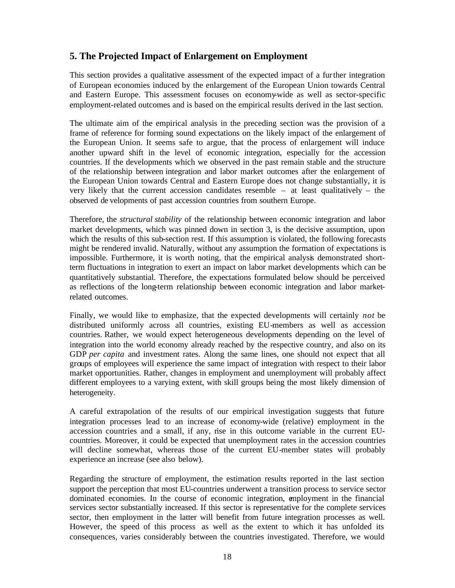#### **5. The Projected Impact of Enlargement on Employment**

This section provides a qualitative assessment of the expected impact of a further integration of European economies induced by the enlargement of the European Union towards Central and Eastern Europe. This assessment focuses on economy-wide as well as sector-specific employment-related outcomes and is based on the empirical results derived in the last section.

The ultimate aim of the empirical analysis in the preceding section was the provision of a frame of reference for forming sound expectations on the likely impact of the enlargement of the European Union. It seems safe to argue, that the process of enlargement will induce another upward shift in the level of economic integration, especially for the accession countries. If the developments which we observed in the past remain stable and the structure of the relationship between integration and labor market outcomes after the enlargement of the European Union towards Central and Eastern Europe does not change substantially, it is very likely that the current accession candidates resemble – at least qualitatively – the observed de velopments of past accession countries from southern Europe.

Therefore, the *structural stability* of the relationship between economic integration and labor market developments, which was pinned down in section 3, is the decisive assumption, upon which the results of this sub-section rest. If this assumption is violated, the following forecasts might be rendered invalid. Naturally, without any assumption the formation of expectations is impossible. Furthermore, it is worth noting, that the empirical analysis demonstrated shortterm fluctuations in integration to exert an impact on labor market developments which can be quantitatively substantial. Therefore, the expectations formulated below should be perceived as reflections of the long-term relationship between economic integration and labor marketrelated outcomes.

Finally, we would like to emphasize, that the expected developments will certainly *not* be distributed uniformly across all countries, existing EU-members as well as accession countries. Rather, we would expect heterogeneous developments depending on the level of integration into the world economy already reached by the respective country, and also on its GDP *per capita* and investment rates. Along the same lines, one should not expect that all groups of employees will experience the same impact of integration with respect to their labor market opportunities. Rather, changes in employment and unemployment will probably affect different employees to a varying extent, with skill groups being the most likely dimension of heterogeneity.

A careful extrapolation of the results of our empirical investigation suggests that future integration processes lead to an increase of economy-wide (relative) employment in the accession countries and a small, if any, rise in this outcome variable in the current EUcountries. Moreover, it could be expected that unemployment rates in the accession countries will decline somewhat, whereas those of the current EU-member states will probably experience an increase (see also below).

Regarding the structure of employment, the estimation results reported in the last section support the perception that most EU-countries underwent a transition process to service sector dominated economies. In the course of economic integration, employment in the financial services sector substantially increased. If this sector is representative for the complete services sector, then employment in the latter will benefit from future integration processes as well. However, the speed of this process as well as the extent to which it has unfolded its consequences, varies considerably between the countries investigated. Therefore, we would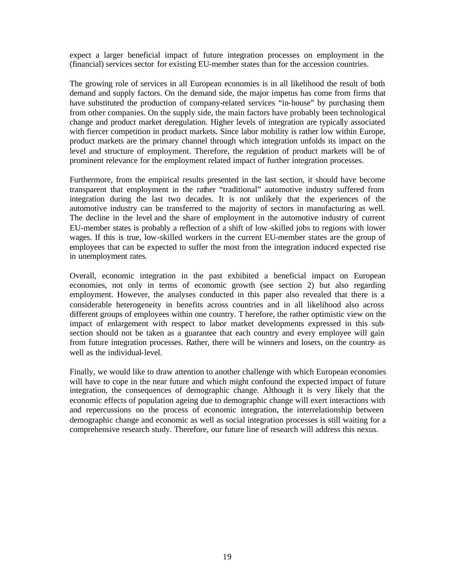expect a larger beneficial impact of future integration processes on employment in the (financial) services sector for existing EU-member states than for the accession countries.

The growing role of services in all European economies is in all likelihood the result of both demand and supply factors. On the demand side, the major impetus has come from firms that have substituted the production of company-related services "in-house" by purchasing them from other companies. On the supply side, the main factors have probably been technological change and product market deregulation. Higher levels of integration are typically associated with fiercer competition in product markets. Since labor mobility is rather low within Europe, product markets are the primary channel through which integration unfolds its impact on the level and structure of employment. Therefore, the regulation of product markets will be of prominent relevance for the employment related impact of further integration processes.

Furthermore, from the empirical results presented in the last section, it should have become transparent that employment in the rather "traditional" automotive industry suffered from integration during the last two decades. It is not unlikely that the experiences of the automotive industry can be transferred to the majority of sectors in manufacturing as well. The decline in the level and the share of employment in the automotive industry of current EU-member states is probably a reflection of a shift of low -skilled jobs to regions with lower wages. If this is true, low-skilled workers in the current EU-member states are the group of employees that can be expected to suffer the most from the integration induced expected rise in unemployment rates.

Overall, economic integration in the past exhibited a beneficial impact on European economies, not only in terms of economic growth (see section 2) but also regarding employment. However, the analyses conducted in this paper also revealed that there is a considerable heterogeneity in benefits across countries and in all likelihood also across different groups of employees within one country. T herefore, the rather optimistic view on the impact of enlargement with respect to labor market developments expressed in this subsection should not be taken as a guarantee that each country and every employee will gain from future integration processes. Rather, there will be winners and losers, on the country- as well as the individual-level.

Finally, we would like to draw attention to another challenge with which European economies will have to cope in the near future and which might confound the expected impact of future integration, the consequences of demographic change. Although it is very likely that the economic effects of population ageing due to demographic change will exert interactions with and repercussions on the process of economic integration, the interrelationship between demographic change and economic as well as social integration processes is still waiting for a comprehensive research study. Therefore, our future line of research will address this nexus.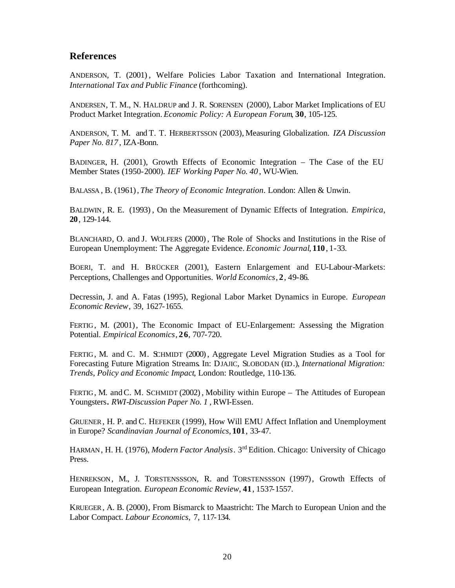#### **References**

ANDERSON, T. (2001) , Welfare Policies Labor Taxation and International Integration. *International Tax and Public Finance* (forthcoming).

ANDERSEN, T. M., N. HALDRUP and J. R. SORENSEN (2000), Labor Market Implications of EU Product Market Integration. *Economic Policy: A European Forum*, **30**, 105-125.

ANDERSON, T. M. and T. T. HERBERTSSON (2003), Measuring Globalization. *IZA Discussion Paper No. 817* , IZA-Bonn.

BADINGER, H. (2001), Growth Effects of Economic Integration – The Case of the EU Member States (1950-2000). *IEF Working Paper No. 40* , WU-Wien.

BALASSA , B. (1961), *The Theory of Economic Integration*. London: Allen & Unwin.

BALDWIN, R. E. (1993) , On the Measurement of Dynamic Effects of Integration. *Empirica*, **20**, 129-144.

BLANCHARD, O. and J. WOLFERS (2000) , The Role of Shocks and Institutions in the Rise of European Unemployment: The Aggregate Evidence. *Economic Journal*, **110**, 1-33.

BOERI, T. and H. BRÜCKER (2001), Eastern Enlargement and EU-Labour-Markets: Perceptions, Challenges and Opportunities. *World Economics*, **2**, 49-86.

Decressin, J. and A. Fatas (1995), Regional Labor Market Dynamics in Europe. *European Economic Review*, 39, 1627-1655.

FERTIG, M. (2001), The Economic Impact of EU-Enlargement: Assessing the Migration Potential. *Empirical Economics*, **26**, 707-720.

FERTIG, M. and C. M. SCHMIDT (2000), Aggregate Level Migration Studies as a Tool for Forecasting Future Migration Streams. In: DJAJIC, SLOBODAN (ED.), *International Migration: Trends, Policy and Economic Impact*, London: Routledge, 110-136.

FERTIG, M. and C. M. SCHMIDT (2002), Mobility within Europe – The Attitudes of European Youngsters**.** *RWI-Discussion Paper No. 1* , RWI-Essen.

GRUENER, H. P. and C. HEFEKER (1999), How Will EMU Affect Inflation and Unemployment in Europe? *Scandinavian Journal of Economics*, **101**, 33-47.

HARMAN, H. H. (1976), *Modern Factor Analysis*. 3rd Edition. Chicago: University of Chicago Press.

HENREKSON, M., J. TORSTENSSSON, R. and TORSTENSSSON (1997), Growth Effects of European Integration. *European Economic Review*, **41**, 1537-1557.

KRUEGER, A. B. (2000), From Bismarck to Maastricht: The March to European Union and the Labor Compact. *Labour Economics,* 7, 117-134.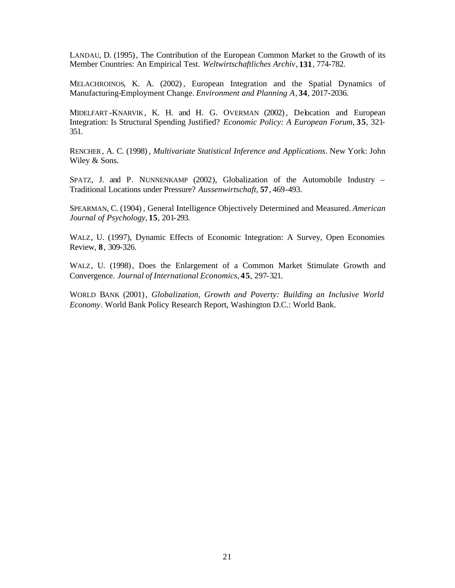LANDAU, D. (1995), The Contribution of the European Common Market to the Growth of its Member Countries: An Empirical Test. *Weltwirtschaftliches Archiv*, **131**, 774-782.

MELACHROINOS, K. A. (2002) , European Integration and the Spatial Dynamics of Manufacturing-Employment Change. *Environment and Planning A*, **34**, 2017-2036.

MIDELFART -KNARVIK, K. H. and H. G. OVERMAN (2002), Delocation and European Integration: Is Structural Spending Justified? *Economic Policy: A European Forum*, **35**, 321- 351.

RENCHER, A. C. (1998) , *Multivariate Statistical Inference and Applications*. New York: John Wiley & Sons.

SPATZ, J. and P. NUNNENKAMP (2002), Globalization of the Automobile Industry – Traditional Locations under Pressure? *Aussenwirtschaft*, **57**, 469-493.

SPEARMAN, C. (1904) , General Intelligence Objectively Determined and Measured. *American Journal of Psychology*, **15**, 201-293.

WALZ, U. (1997), Dynamic Effects of Economic Integration: A Survey, Open Economies Review, **8**, 309-326.

WALZ, U. (1998), Does the Enlargement of a Common Market Stimulate Growth and Convergence. *Journal of International Economics*, **45**, 297-321.

WORLD BANK (2001), *Globalization, Growth and Poverty: Building an Inclusive World Economy*. World Bank Policy Research Report, Washington D.C.: World Bank.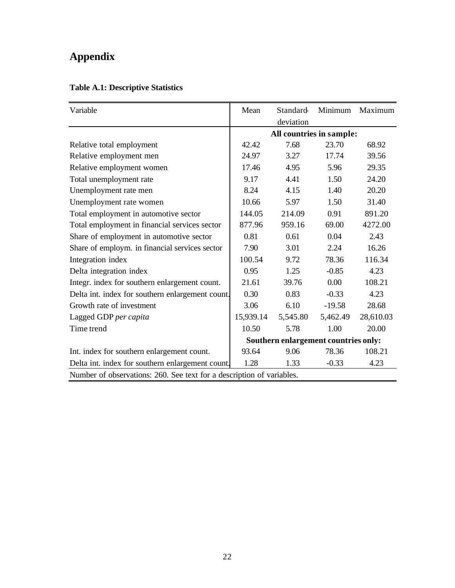# **Appendix**

| Variable                                                              | Mean                                 | Standard  | Minimum  | Maximum   |  |
|-----------------------------------------------------------------------|--------------------------------------|-----------|----------|-----------|--|
|                                                                       |                                      | deviation |          |           |  |
|                                                                       | All countries in sample:             |           |          |           |  |
| Relative total employment                                             | 42.42                                | 7.68      | 23.70    | 68.92     |  |
| Relative employment men                                               | 24.97                                | 3.27      | 17.74    | 39.56     |  |
| Relative employment women                                             | 17.46                                | 4.95      | 5.96     | 29.35     |  |
| Total unemployment rate                                               | 9.17                                 | 4.41      | 1.50     | 24.20     |  |
| Unemployment rate men                                                 | 8.24                                 | 4.15      | 1.40     | 20.20     |  |
| Unemployment rate women                                               | 10.66                                | 5.97      | 1.50     | 31.40     |  |
| Total employment in automotive sector                                 | 144.05                               | 214.09    | 0.91     | 891.20    |  |
| Total employment in financial services sector                         | 877.96                               | 959.16    | 69.00    | 4272.00   |  |
| Share of employment in automotive sector                              | 0.81                                 | 0.61      | 0.04     | 2.43      |  |
| Share of employm. in financial services sector                        | 7.90                                 | 3.01      | 2.24     | 16.26     |  |
| Integration index                                                     | 100.54                               | 9.72      | 78.36    | 116.34    |  |
| Delta integration index                                               | 0.95                                 | 1.25      | $-0.85$  | 4.23      |  |
| Integr. index for southern enlargement count.                         | 21.61                                | 39.76     | 0.00     | 108.21    |  |
| Delta int. index for southern enlargement count.                      | 0.30                                 | 0.83      | $-0.33$  | 4.23      |  |
| Growth rate of investment                                             | 3.06                                 | 6.10      | $-19.58$ | 28.68     |  |
| Lagged GDP per capita                                                 | 15,939.14                            | 5,545.80  | 5,462.49 | 28,610.03 |  |
| Time trend                                                            | 10.50                                | 5.78      | 1.00     | 20.00     |  |
|                                                                       | Southern enlargement countries only: |           |          |           |  |
| Int. index for southern enlargement count.                            | 93.64                                | 9.06      | 78.36    | 108.21    |  |
| Delta int. index for southern enlargement count.                      | 1.28                                 | 1.33      | $-0.33$  | 4.23      |  |
| Number of observations: 260. See text for a description of variables. |                                      |           |          |           |  |

## **Table A.1: Descriptive Statistics**